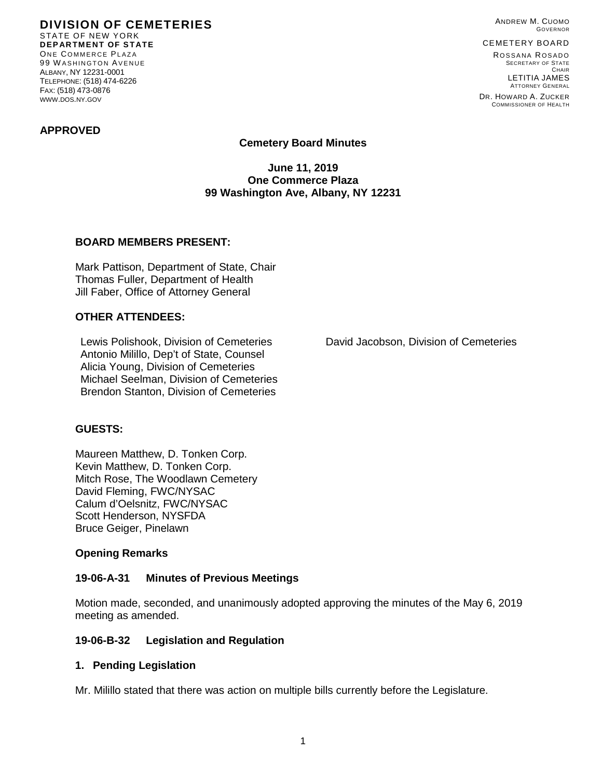**DIVISION OF CEMETERIES** STATE OF NEW YORK **DEPARTMENT OF STATE** ONE COMMERCE PLAZA 99 W ASHINGTON AVENUE ALBANY, NY 12231-0001 TELEPHONE: (518) 474-6226 FAX: (518) 473-0876 WWW.DOS.NY.GOV

ANDREW M. CUOMO GOVERNOR

#### CEMETERY BOARD

ROSSANA ROSADO SECRETARY OF STATE CHAIR LETITIA JAMES ATTORNEY GENERAL

DR. HOWARD A. ZUCKER COMMISSIONER OF HEALTH

### **APPROVED**

### **Cemetery Board Minutes**

**June 11, 2019 One Commerce Plaza 99 Washington Ave, Albany, NY 12231**

### **BOARD MEMBERS PRESENT:**

Mark Pattison, Department of State, Chair Thomas Fuller, Department of Health Jill Faber, Office of Attorney General

## **OTHER ATTENDEES:**

Lewis Polishook, Division of Cemeteries David Jacobson, Division of Cemeteries Antonio Milillo, Dep't of State, Counsel Alicia Young, Division of Cemeteries Michael Seelman, Division of Cemeteries Brendon Stanton, Division of Cemeteries

### **GUESTS:**

Maureen Matthew, D. Tonken Corp. Kevin Matthew, D. Tonken Corp. Mitch Rose, The Woodlawn Cemetery David Fleming, FWC/NYSAC Calum d'Oelsnitz, FWC/NYSAC Scott Henderson, NYSFDA Bruce Geiger, Pinelawn

### **Opening Remarks**

### **19-06-A-31 Minutes of Previous Meetings**

Motion made, seconded, and unanimously adopted approving the minutes of the May 6, 2019 meeting as amended.

### **19-06-B-32 Legislation and Regulation**

### **1. Pending Legislation**

Mr. Milillo stated that there was action on multiple bills currently before the Legislature.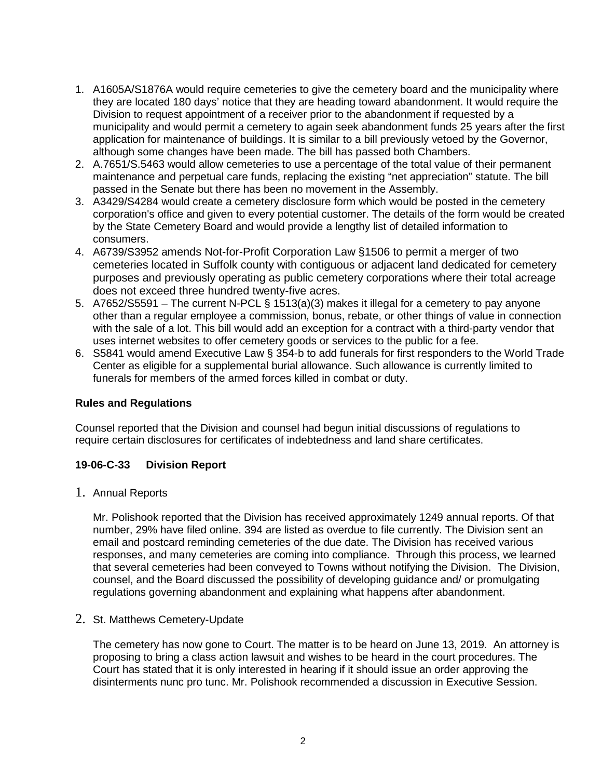- 1. A1605A/S1876A would require cemeteries to give the cemetery board and the municipality where they are located 180 days' notice that they are heading toward abandonment. It would require the Division to request appointment of a receiver prior to the abandonment if requested by a municipality and would permit a cemetery to again seek abandonment funds 25 years after the first application for maintenance of buildings. It is similar to a bill previously vetoed by the Governor, although some changes have been made. The bill has passed both Chambers.
- 2. A.7651/S.5463 would allow cemeteries to use a percentage of the total value of their permanent maintenance and perpetual care funds, replacing the existing "net appreciation" statute. The bill passed in the Senate but there has been no movement in the Assembly.
- 3. A3429/S4284 would create a cemetery disclosure form which would be posted in the cemetery corporation's office and given to every potential customer. The details of the form would be created by the State Cemetery Board and would provide a lengthy list of detailed information to consumers.
- 4. A6739/S3952 amends Not-for-Profit Corporation Law §1506 to permit a merger of two cemeteries located in Suffolk county with contiguous or adjacent land dedicated for cemetery purposes and previously operating as public cemetery corporations where their total acreage does not exceed three hundred twenty-five acres.
- 5. A7652/S5591 The current N-PCL § 1513(a)(3) makes it illegal for a cemetery to pay anyone other than a regular employee a commission, bonus, rebate, or other things of value in connection with the sale of a lot. This bill would add an exception for a contract with a third-party vendor that uses internet websites to offer cemetery goods or services to the public for a fee.
- 6. S5841 would amend Executive Law § 354-b to add funerals for first responders to the World Trade Center as eligible for a supplemental burial allowance. Such allowance is currently limited to funerals for members of the armed forces killed in combat or duty.

## **Rules and Regulations**

Counsel reported that the Division and counsel had begun initial discussions of regulations to require certain disclosures for certificates of indebtedness and land share certificates.

## **19-06-C-33 Division Report**

1. Annual Reports

Mr. Polishook reported that the Division has received approximately 1249 annual reports. Of that number, 29% have filed online. 394 are listed as overdue to file currently. The Division sent an email and postcard reminding cemeteries of the due date. The Division has received various responses, and many cemeteries are coming into compliance. Through this process, we learned that several cemeteries had been conveyed to Towns without notifying the Division. The Division, counsel, and the Board discussed the possibility of developing guidance and/ or promulgating regulations governing abandonment and explaining what happens after abandonment.

## 2. St. Matthews Cemetery-Update

The cemetery has now gone to Court. The matter is to be heard on June 13, 2019. An attorney is proposing to bring a class action lawsuit and wishes to be heard in the court procedures. The Court has stated that it is only interested in hearing if it should issue an order approving the disinterments nunc pro tunc. Mr. Polishook recommended a discussion in Executive Session.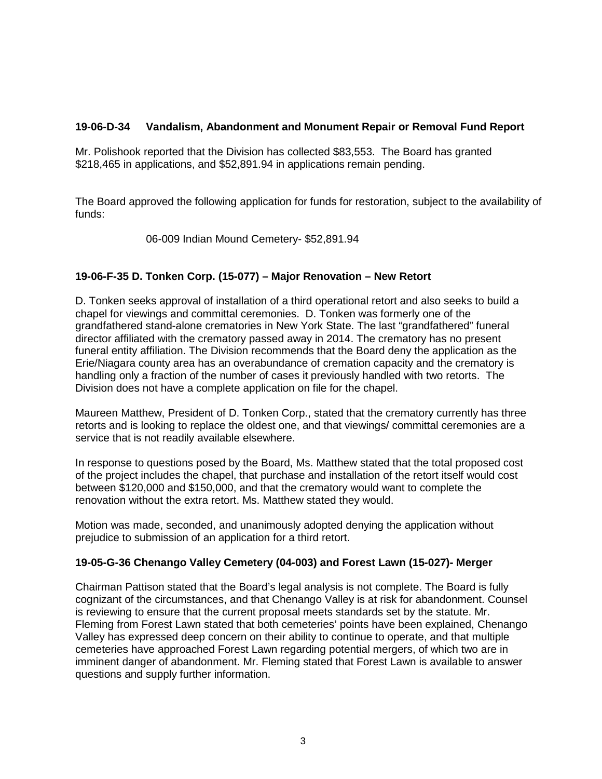## **19-06-D-34 Vandalism, Abandonment and Monument Repair or Removal Fund Report**

Mr. Polishook reported that the Division has collected \$83,553. The Board has granted \$218,465 in applications, and \$52,891.94 in applications remain pending.

The Board approved the following application for funds for restoration, subject to the availability of funds:

06-009 Indian Mound Cemetery- \$52,891.94

# **19-06-F-35 D. Tonken Corp. (15-077) – Major Renovation – New Retort**

D. Tonken seeks approval of installation of a third operational retort and also seeks to build a chapel for viewings and committal ceremonies. D. Tonken was formerly one of the grandfathered stand-alone crematories in New York State. The last "grandfathered" funeral director affiliated with the crematory passed away in 2014. The crematory has no present funeral entity affiliation. The Division recommends that the Board deny the application as the Erie/Niagara county area has an overabundance of cremation capacity and the crematory is handling only a fraction of the number of cases it previously handled with two retorts. The Division does not have a complete application on file for the chapel.

Maureen Matthew, President of D. Tonken Corp., stated that the crematory currently has three retorts and is looking to replace the oldest one, and that viewings/ committal ceremonies are a service that is not readily available elsewhere.

In response to questions posed by the Board, Ms. Matthew stated that the total proposed cost of the project includes the chapel, that purchase and installation of the retort itself would cost between \$120,000 and \$150,000, and that the crematory would want to complete the renovation without the extra retort. Ms. Matthew stated they would.

Motion was made, seconded, and unanimously adopted denying the application without prejudice to submission of an application for a third retort.

## **19-05-G-36 Chenango Valley Cemetery (04-003) and Forest Lawn (15-027)- Merger**

Chairman Pattison stated that the Board's legal analysis is not complete. The Board is fully cognizant of the circumstances, and that Chenango Valley is at risk for abandonment. Counsel is reviewing to ensure that the current proposal meets standards set by the statute. Mr. Fleming from Forest Lawn stated that both cemeteries' points have been explained, Chenango Valley has expressed deep concern on their ability to continue to operate, and that multiple cemeteries have approached Forest Lawn regarding potential mergers, of which two are in imminent danger of abandonment. Mr. Fleming stated that Forest Lawn is available to answer questions and supply further information.